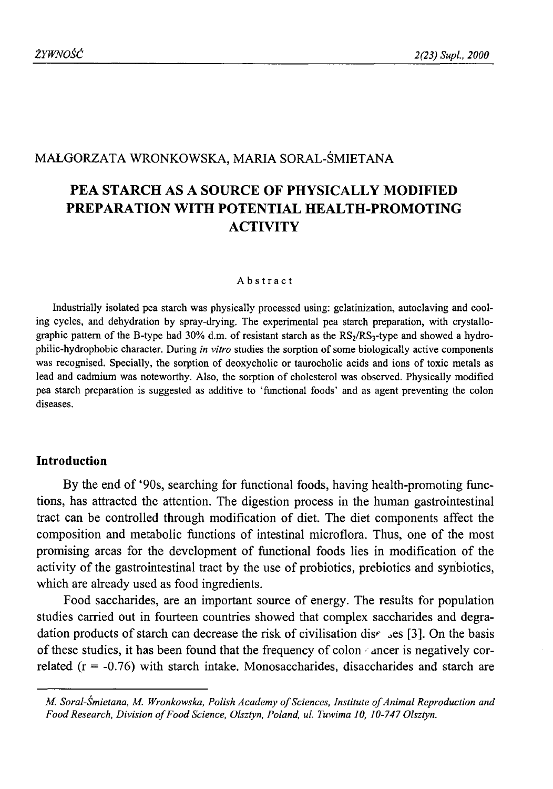# MAŁGORZATA WRONKOWSKA, MARIA SORAL-ŚMIETANA

# **PEA STARCH AS A SOURCE OF PHYSICALLY MODIFIED PREPARATION WITH POTENTIAL HEALTH-PROMOTING ACTIVITY**

#### Abstract

Industrially isolated pea starch was physically processed using: gelatinization, autoclaving and cooling cycles, and dehydration by spray-drying. The experimental pea starch preparation, with crystallographic pattern of the B-type had 30% d.m. of resistant starch as the RS<sub>2</sub>/RS<sub>3</sub>-type and showed a hydrophilic-hydrophobic character. During *in vitro* studies the sorption of some biologically active components was recognised. Specially, the sorption of deoxycholic or taurocholic acids and ions of toxic metals as lead and cadmium was noteworthy. Also, the sorption of cholesterol was observed. Physically modified pea starch preparation is suggested as additive to 'functional foods' and as agent preventing the colon diseases.

# **Introduction**

By the end of '90s, searching for functional foods, having health-promoting functions, has attracted the attention. The digestion process in the human gastrointestinal tract can be controlled through modification of diet. The diet components affect the composition and metabolic functions of intestinal microflora. Thus, one of the most promising areas for the development of functional foods lies in modification of the activity of the gastrointestinal tract by the use of probiotics, prebiotics and synbiotics, which are already used as food ingredients.

Food saccharides, are an important source of energy. The results for population studies carried out in fourteen countries showed that complex saccharides and degradation products of starch can decrease the risk of civilisation dis $\epsilon$  ses [3]. On the basis of these studies, it has been found that the frequency of colon ancer is negatively correlated  $(r = -0.76)$  with starch intake. Monosaccharides, disaccharides and starch are

*M. Soral-Śmietana, M. Wronkowska, Polish Academy of Sciences, Institute of Animal Reproduction and* Food Research, Division of Food Science, Olsztyn, Poland, ul. Tuwima 10, 10-747 Olsztyn.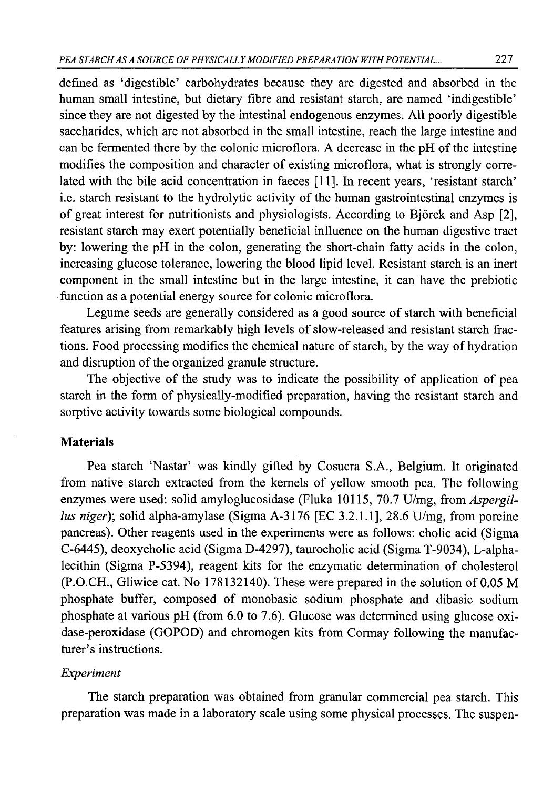defined as 'digestible' carbohydrates because they are digested and absorbed in the human small intestine, but dietary fibre and resistant starch, are named 'indigestible' since they are not digested by the intestinal endogenous enzymes. All poorly digestible saccharides, which are not absorbed in the small intestine, reach the large intestine and can be fermented there by the colonic microflora. A decrease in the pH of the intestine modifies the composition and character of existing microflora, what is strongly correlated with the bile acid concentration in faeces [11]. In recent years, 'resistant starch' i.e. starch resistant to the hydrolytic activity of the human gastrointestinal enzymes is of great interest for nutritionists and physiologists. According to Bjórck and Asp [2], resistant starch may exert potentially beneficial influence on the human digestive tract by: lowering the pH in the colon, generating the short-chain fatty acids in the colon, increasing glucose tolerance, lowering the blood lipid level. Resistant starch is an inert component in the small intestine but in the large intestine, it can have the prebiotic function as a potential energy source for colonic microflora.

Legume seeds are generally considered as a good source of starch with beneficial features arising from remarkably high levels of slow-released and resistant starch fractions. Food processing modifies the chemical nature of starch, by the way of hydration and disruption of the organized granule structure.

The objective of the study was to indicate the possibility of application of pea starch in the form of physically-modified preparation, having the resistant starch and sorptive activity towards some biological compounds.

### **Materials**

Pea starch 'Nastar' was kindly gifted by Cosucra S.A., Belgium. It originated from native starch extracted from the kernels of yellow smooth pea. The following enzymes were used: solid amyloglucosidase (Fluka 10115, 70.7 U/mg, from *Aspergillus niger*); solid alpha-amylase (Sigma A-3176 [EC 3.2.1.1], 28.6 U/mg, from porcine pancreas). Other reagents used in the experiments were as follows: cholic acid (Sigma C-6445), deoxycholic acid (Sigma D-4297), taurocholic acid (Sigma T-9034), L-alphalecithin (Sigma P-5394), reagent kits for the enzymatic determination of cholesterol (P.O.CH., Gliwice cat. No 178132140). These were prepared in the solution of 0.05 M phosphate buffer, composed of monobasic sodium phosphate and dibasic sodium phosphate at various pH (from 6.0 to 7.6). Glucose was determined using glucose oxidase-peroxidase (GOPOD) and chromogen kits from Cormay following the manufacturer's instructions.

### *Experiment*

The starch preparation was obtained from granular commercial pea starch. This preparation was made in a laboratory scale using some physical processes. The suspen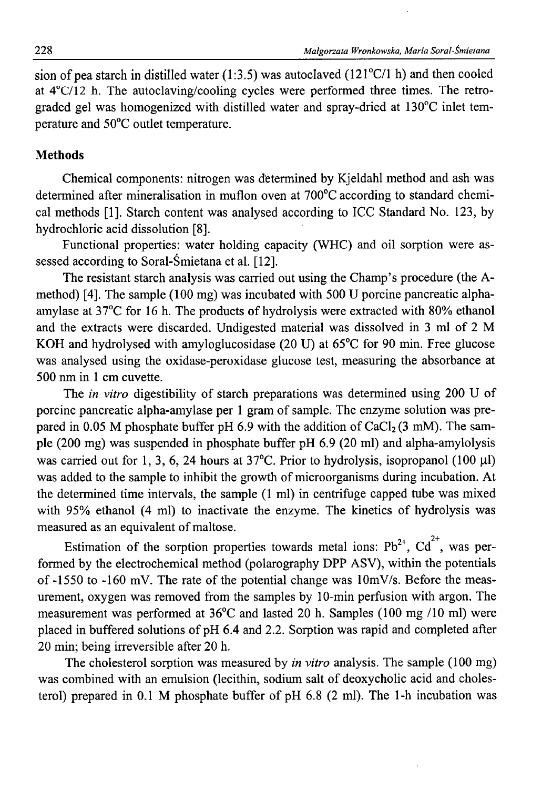sion of pea starch in distilled water (1:3.5) was autoclaved (121°C/1 h) and then cooled at 4°C/12 h. The autoclaving/cooling cycles were performed three times. The retrograded gel was homogenized with distilled water and spray-dried at 130°C inlet temperature and 50°C outlet temperature.

### **Methods**

Chemical components: nitrogen was determined by Kjeldahl method and ash was determined after mineralisation in muflon oven at 700°C according to standard chemical methods [1]. Starch content was analysed according to ICC Standard No. 123, by hydrochloric acid dissolution [8].

Functional properties: water holding capacity (WHC) and oil sorption were assessed according to Soral-Śmietana et al. [12].

The resistant starch analysis was carried out using the Champ's procedure (the Amethod) [4]. The sample (100 mg) was incubated with 500 U porcine pancreatic alphaamylase at 37°C for 16 h. The products of hydrolysis were extracted with 80% ethanol and the extracts were discarded. Undigested material was dissolved in 3 ml of 2 M KOH and hydrolysed with amyloglucosidase (20 U) at 65°C for 90 min. Free glucose was analysed using the oxidase-peroxidase glucose test, measuring the absorbance at 500 nm in 1 cm cuvette.

The *in vitro* digestibility of starch preparations was determined using 200 U of porcine pancreatic alpha-amylase per 1 gram of sample. The enzyme solution was prepared in 0.05 M phosphate buffer pH 6.9 with the addition of  $CaCl<sub>2</sub>(3$  mM). The sample (200 mg) was suspended in phosphate buffer pH 6.9 (20 ml) and alpha-amylolysis was carried out for 1, 3, 6, 24 hours at  $37^{\circ}$ C. Prior to hydrolysis, isopropanol (100 µl) was added to the sample to inhibit the growth of microorganisms during incubation. At the determined time intervals, the sample (1 ml) in centrifuge capped tube was mixed with 95% ethanol (4 ml) to inactivate the enzyme. The kinetics of hydrolysis was measured as an equivalent of maltose.

Estimation of the sorption properties towards metal ions:  $Pb^{2+}$ ,  $Cd^{2+}$ , was performed by the electrochemical method (polarography DPP ASV), within the potentials of  $-1550$  to  $-160$  mV. The rate of the potential change was  $10$ mV/s. Before the measurement, oxygen was removed from the samples by 10-min perfusion with argon. The measurement was performed at 36°C and lasted 20 h. Samples (100 mg /10 ml) were placed in buffered solutions of pH 6.4 and 2.2. Sorption was rapid and completed after 20 min; being irreversible after 20 h.

The cholesterol sorption was measured by *in vitro* analysis. The sample (100 mg) was combined with an emulsion (lecithin, sodium salt of deoxycholic acid and cholesterol) prepared in 0.1 M phosphate buffer of pH 6.8 (2 ml). The 1-h incubation was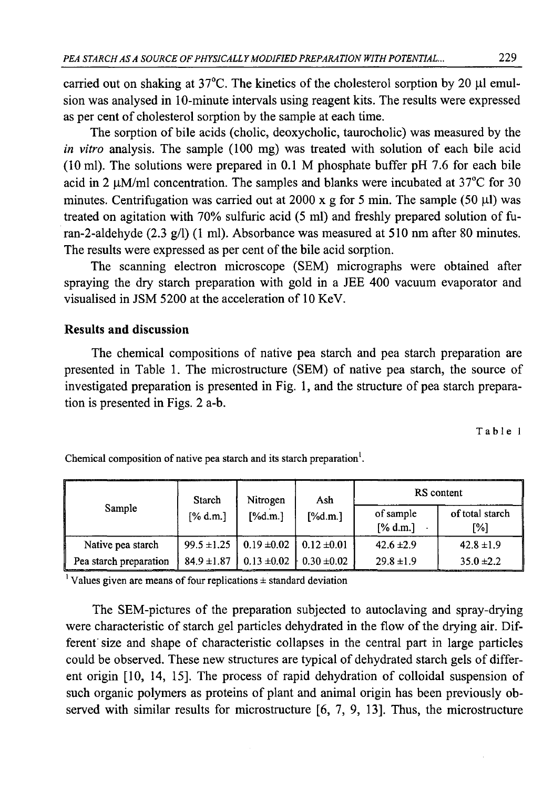carried out on shaking at  $37^{\circ}$ C. The kinetics of the cholesterol sorption by 20  $\mu$ l emulsion was analysed in 10-minute intervals using reagent kits. The results were expressed as per cent of cholesterol sorption by the sample at each time.

The sorption of bile acids (cholic, deoxycholic, taurocholic) was measured by the *in vitro* analysis. The sample (100 mg) was treated with solution of each bile acid (10 ml). The solutions were prepared in 0.1 M phosphate buffer pH 7.6 for each bile acid in 2  $\mu$ M/ml concentration. The samples and blanks were incubated at 37 $\degree$ C for 30 minutes. Centrifugation was carried out at 2000 x g for 5 min. The sample (50  $\mu$ I) was treated on agitation with 70% sulfuric acid (5 ml) and freshly prepared solution of furan-2-aldehyde (2.3 g/l) (1 ml). Absorbance was measured at 510 nm after 80 minutes. The results were expressed as per cent of the bile acid sorption.

The scanning electron microscope (SEM) micrographs were obtained after spraying the dry starch preparation with gold in a JEE 400 vacuum evaporator and visualised in JSM 5200 at the acceleration of 10 KeV.

# **Results and discussion**

The chemical compositions of native pea starch and pea starch preparation are presented in Table 1. The microstructure (SEM) of native pea starch, the source of investigated preparation is presented in Fig. 1, and the structure of pea starch preparation is presented in Figs. 2 a-b.

Table 1

| Sample                 | Starch<br>[% d.m.] | Nitrogen<br>$[\%d.m.]$ | Ash<br>$[\%d.m.]$ | RS content            |                        |
|------------------------|--------------------|------------------------|-------------------|-----------------------|------------------------|
|                        |                    |                        |                   | of sample<br>[% d.m.] | of total starch<br>[%] |
| Native pea starch      | $99.5 \pm 1.25$    | $0.19 \pm 0.02$        | $0.12 \pm 0.01$   | $42.6 \pm 2.9$        | $42.8 \pm 1.9$         |
| Pea starch preparation | $84.9 \pm 1.87$    | $0.13 \pm 0.02$        | $0.30 \pm 0.02$   | $29.8 \pm 1.9$        | $35.0 \pm 2.2$         |

Chemical composition of native pea starch and its starch preparation<sup>1</sup>.

 $\frac{1}{1}$  Values given are means of four replications  $\pm$  standard deviation

The SEM-pictures of the preparation subjected to autoclaving and spray-drying were characteristic of starch gel particles dehydrated in the flow of the drying air. Different size and shape of characteristic collapses in the central part in large particles could be observed. These new structures are typical of dehydrated starch gels of different origin [10, 14, 15]. The process of rapid dehydration of colloidal suspension of such organic polymers as proteins of plant and animal origin has been previously observed with similar results for microstructure [6, 7, 9, 13]. Thus, the microstructure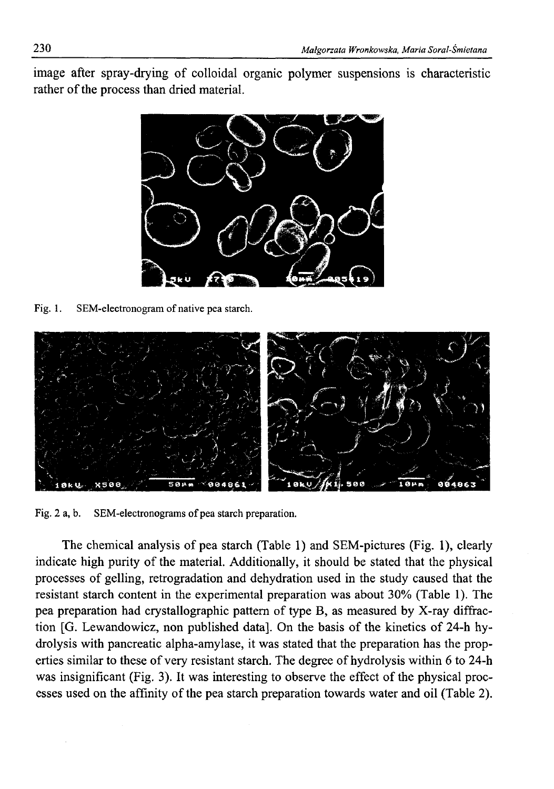image after spray-drying of colloidal organic polymer suspensions is characteristic rather of the process than dried material.



Fig. 1. SEM-electronogram of native pea starch.



Fig. 2 a, b. SEM-electronograms of pea starch preparation.

The chemical analysis of pea starch (Table 1) and SEM-pictures (Fig. 1), clearly indicate high purity of the material. Additionally, it should be stated that the physical processes of gelling, retrogradation and dehydration used in the study caused that the resistant starch content in the experimental preparation was about 30% (Table 1). The pea preparation had crystallographic pattern of type B, as measured by X-ray diffraction [G. Lewandowicz, non published data]. On the basis of the kinetics of 24-h hydrolysis with pancreatic alpha-amylase, it was stated that the preparation has the properties similar to these of very resistant starch. The degree of hydrolysis within 6 to 24-h was insignificant (Fig. 3). It was interesting to observe the effect of the physical processes used on the affinity of the pea starch preparation towards water and oil (Table 2).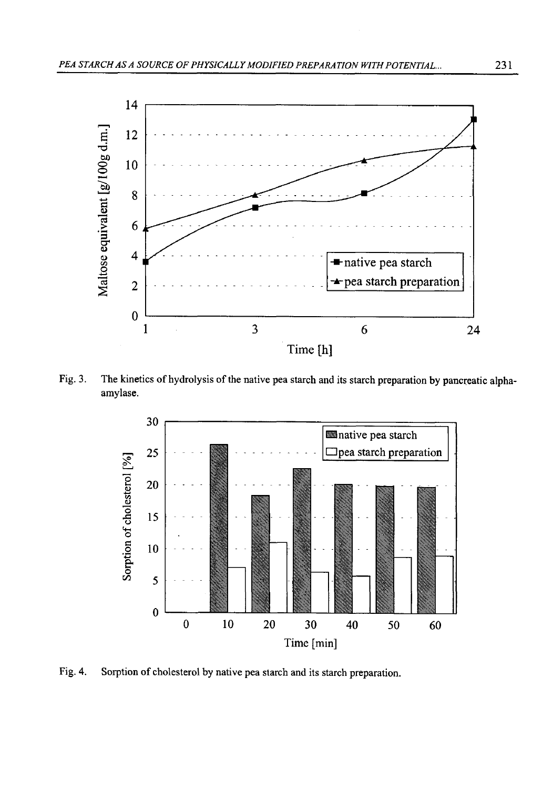

Fig. 3. The kinetics of hydrolysis of the native pea starch and its starch preparation by pancreatic alphaamylase.



Fig. 4. Sorption of cholesterol by native pea starch and its starch preparation.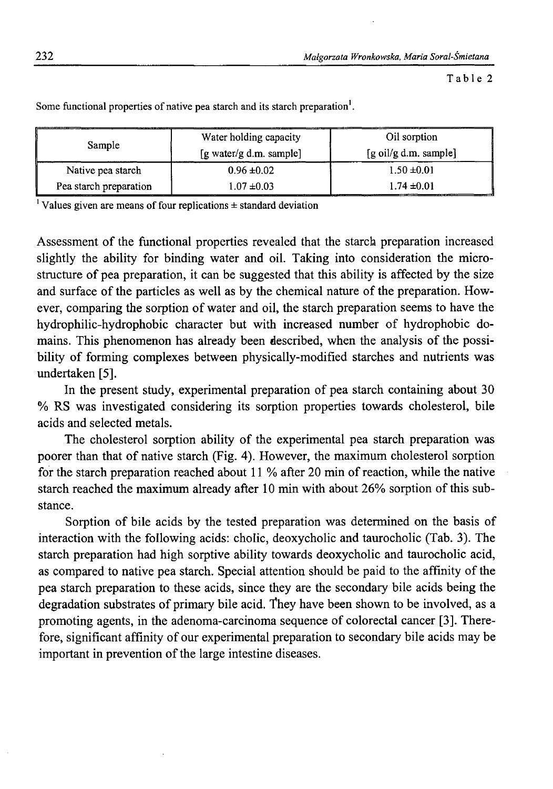Table 2

| Sample                 | Water holding capacity  | Oil sorption          |  |
|------------------------|-------------------------|-----------------------|--|
|                        | [g water/g d.m. sample] | [g oil/g d.m. sample] |  |
| Native pea starch      | $0.96 \pm 0.02$         | $1.50 \pm 0.01$       |  |
| Pea starch preparation | $1.07 \pm 0.03$         | $1.74 \pm 0.01$       |  |

Some functional properties of native pea starch and its starch preparation<sup>1</sup>.

<sup>1</sup> Values given are means of four replications  $\pm$  standard deviation

Assessment of the functional properties revealed that the starch preparation increased slightly the ability for binding water and oil. Taking into consideration the microstructure of pea preparation, it can be suggested that this ability is affected by the size and surface of the particles as well as by the chemical nature of the preparation. However, comparing the sorption of water and oil, the starch preparation seems to have the hydrophilic-hydrophobic character but with increased number of hydrophobic domains. This phenomenon has already been described, when the analysis of the possibility of forming complexes between physically-modified starches and nutrients was undertaken [5].

In the present study, experimental preparation of pea starch containing about 30 % RS was investigated considering its sorption properties towards cholesterol, bile acids and selected metals.

The cholesterol sorption ability of the experimental pea starch preparation was poorer than that of native starch (Fig. 4). However, the maximum cholesterol sorption for the starch preparation reached about 11 % after 20 min of reaction, while the native starch reached the maximum already after 10 min with about 26% sorption of this substance.

Sorption of bile acids by the tested preparation was determined on the basis of interaction with the following acids: cholic, deoxycholic and taurocholic (Tab. 3). The starch preparation had high sorptive ability towards deoxycholic and taurocholic acid, as compared to native pea starch. Special attention should be paid to the affinity of the pea starch preparation to these acids, since they are the secondary bile acids being the degradation substrates of primary bile acid, "fhey have been shown to be involved, as a promoting agents, in the adenoma-carcinoma sequence of colorectal cancer [3]. Therefore, significant affinity of our experimental preparation to secondary bile acids may be important in prevention of the large intestine diseases.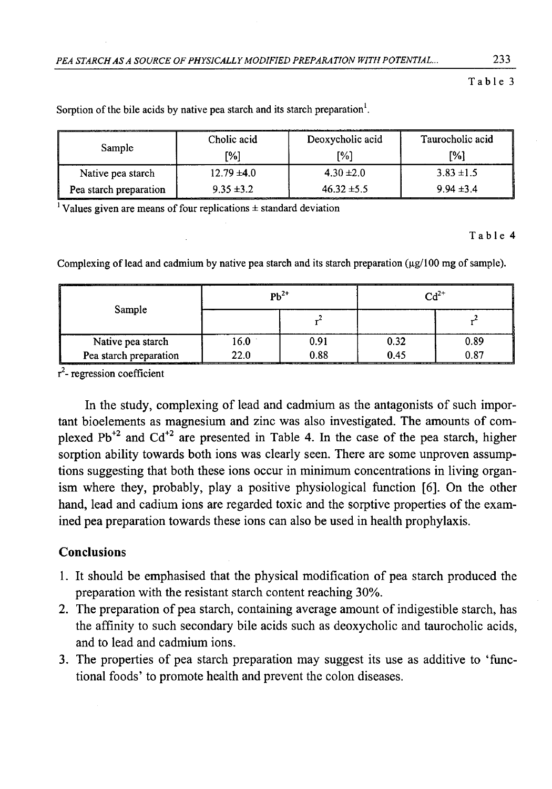#### Table 3

| Sample                 | Cholic acid     | Deoxycholic acid | Taurocholic acid |  |
|------------------------|-----------------|------------------|------------------|--|
|                        | [%]             | [%]              | '%ነ              |  |
| Native pea starch      | $12.79 \pm 4.0$ | $4.30 \pm 2.0$   | $3.83 \pm 1.5$   |  |
| Pea starch preparation | $9.35 \pm 3.2$  | $46.32 \pm 5.5$  | $9.94 \pm 3.4$   |  |

Sorption of the bile acids by native pea starch and its starch preparation<sup>1</sup>.

<sup>1</sup> Values given are means of four replications  $\pm$  standard deviation

#### Table 4

Complexing of lead and cadmium by native pea starch and its starch preparation  $(\mu g/100 \text{ mg of sample})$ .

| Sample                          | ----------<br>$Ph^{2+}$ |      | $\mathsf{C} \mathsf{d}^{2+}$ |      |
|---------------------------------|-------------------------|------|------------------------------|------|
|                                 |                         |      |                              |      |
| Native pea starch               | .6.0                    | 0.91 | 0.32                         | 0.89 |
| Pea starch preparation<br>_____ | 22.0                    | 0.88 | ) 45                         | 0.87 |

 $r^2$ - regression coefficient

In the study, complexing of lead and cadmium as the antagonists of such important bioelements as magnesium and zinc was also investigated. The amounts of complexed  $Pb^{2}$  and  $Cd^{2}$  are presented in Table 4. In the case of the pea starch, higher sorption ability towards both ions was clearly seen. There are some unproven assumptions suggesting that both these ions occur in minimum concentrations in living organism where they, probably, play a positive physiological function [6]. On the other hand, lead and cadium ions are regarded toxic and the sorptive properties of the examined pea preparation towards these ions can also be used in health prophylaxis.

# Conclusions

- 1. It should be emphasised that the physical modification of pea starch produced the preparation with the resistant starch content reaching 30%.
- 2. The preparation of pea starch, containing average amount of indigestible starch, has the affinity to such secondary bile acids such as deoxycholic and taurocholic acids, and to lead and cadmium ions.
- 3. The properties of pea starch preparation may suggest its use as additive to 'functional foods' to promote health and prevent the colon diseases.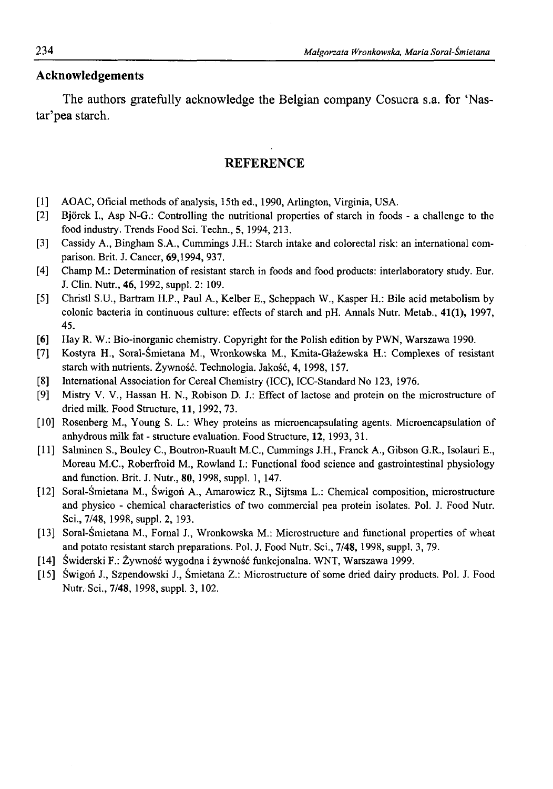# **Acknowledgements**

The authors gratefully acknowledge the Belgian company Cosucra s.a. for 'Nastar'pea starch.

### **REFERENCE**

- [1] AOAC, Oficial methods of analysis, 15th ed., 1990, Arlington, Virginia, USA.
- [2] Bjorck I., Asp N-G.: Controlling the nutritional properties of starch in foods a challenge to the food industry. Trends Food Sci. Techn., 5, 1994, 213.
- [3] Cassidy A., Bingham S.A., Cummings J.H.: Starch intake and colorectal risk: an international comparison. Brit. J. Cancer, 69,1994, 937.
- [4] Champ M.: Determination of resistant starch in foods and food products: interlaboratory study. Eur. J. Clin. Nutr., 46, 1992, suppl. 2: 109.
- [5] Christl S.U., Bartram H.P., Paul A., Kelber E., Scheppach W., Kasper H.: Bile acid metabolism by colonic bacteria in continuous culture: effects of starch and pH. Annals Nutr. Metab., 41(1), 1997, 45.
- [6] Hay R. W.: Bio-inorganic chemistry. Copyright for the Polish edition by PWN, Warszawa 1990.
- [7] Kostyra H., Soral-Śmietana M., Wronkowska M., Kmita-Głażewska H.: Complexes of resistant starch with nutrients. Żywność. Technologia. Jakość, 4, 1998, 157.
- [8] International Association for Cereal Chemistry (ICC), ICC-Standard No 123, 1976.
- [9] Mistry V. V., Hassan H. N., Robison D. J.: Effect of lactose and protein on the microstructure of dried milk. Food Structure, 11, 1992, 73.
- [10] Rosenberg M., Young S. L.: Whey proteins as microencapsulating agents. Microencapsulation of anhydrous milk fat - structure evaluation. Food Structure, 12,1993, 31.
- [11] Salminen S., Bouley C., Boutron-Ruault M.C., Cummings J.H., Franck A., Gibson G.R., Isolauri E., Moreau M.C., Roberfroid M., Rowland I.: Functional food science and gastrointestinal physiology and function. Brit. J. Nutr., 80, 1998, suppl. 1, 147.
- [12] Soral-Śmietana M., Świgoń A., Amarowicz R., Sijtsma L.: Chemical composition, microstructure and physico - chemical characteristics of two commercial pea protein isolates. Pol. J. Food Nutr. Sci., 7/48, 1998, suppl. 2, 193.
- [13] Soral-Śmietana M., Fornal J., Wronkowska M.: Microstructure and functional properties of wheat and potato resistant starch preparations. Pol. J. Food Nutr. Sci., 7/48, 1998, suppl. 3, 79.
- [14] Świderski F.: Żywność wygodna i żywność funkcjonalna. WNT, Warszawa 1999.
- [15] Świgoń J., Szpendowski J., Śmietana Z.: Microstructure of some dried dairy products. Pol. J. Food Nutr. Sci., 7/48, 1998, suppl. 3, 102.